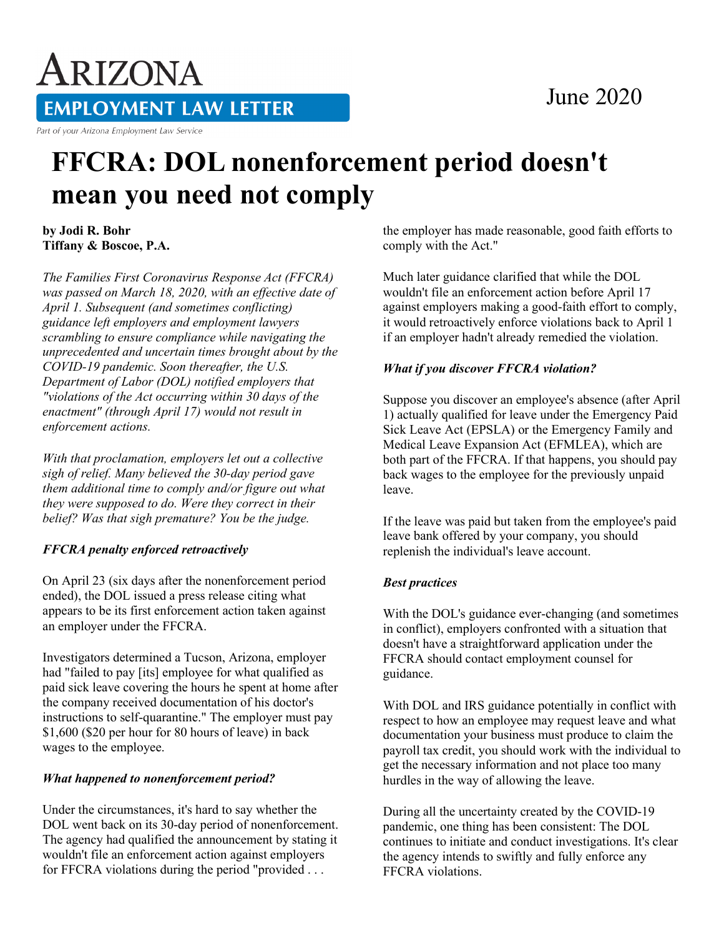# June 2020

ARIZONA **EMPLOYMENT LAW LETTER** 

Part of your Arizona Employment Law Service

# **FFCRA: DOL nonenforcement period doesn't mean you need not comply**

**by Jodi R. Bohr Tiffany & Boscoe, P.A.**

*The Families First Coronavirus Response Act (FFCRA) was passed on March 18, 2020, with an effective date of April 1. Subsequent (and sometimes conflicting) guidance left employers and employment lawyers scrambling to ensure compliance while navigating the unprecedented and uncertain times brought about by the COVID-19 pandemic. Soon thereafter, the U.S. Department of Labor (DOL) notified employers that "violations of the Act occurring within 30 days of the enactment" (through April 17) would not result in enforcement actions.*

*With that proclamation, employers let out a collective sigh of relief. Many believed the 30-day period gave them additional time to comply and/or figure out what they were supposed to do. Were they correct in their belief? Was that sigh premature? You be the judge.*

### *FFCRA penalty enforced retroactively*

On April 23 (six days after the nonenforcement period ended), the DOL issued a press release citing what appears to be its first enforcement action taken against an employer under the FFCRA.

Investigators determined a Tucson, Arizona, employer had "failed to pay [its] employee for what qualified as paid sick leave covering the hours he spent at home after the company received documentation of his doctor's instructions to self-quarantine." The employer must pay \$1,600 (\$20 per hour for 80 hours of leave) in back wages to the employee.

### *What happened to nonenforcement period?*

Under the circumstances, it's hard to say whether the DOL went back on its 30-day period of nonenforcement. The agency had qualified the announcement by stating it wouldn't file an enforcement action against employers for FFCRA violations during the period "provided . . .

the employer has made reasonable, good faith efforts to comply with the Act."

Much later guidance clarified that while the DOL wouldn't file an enforcement action before April 17 against employers making a good-faith effort to comply, it would retroactively enforce violations back to April 1 if an employer hadn't already remedied the violation.

#### *What if you discover FFCRA violation?*

Suppose you discover an employee's absence (after April 1) actually qualified for leave under the Emergency Paid Sick Leave Act (EPSLA) or the Emergency Family and Medical Leave Expansion Act (EFMLEA), which are both part of the FFCRA. If that happens, you should pay back wages to the employee for the previously unpaid leave.

If the leave was paid but taken from the employee's paid leave bank offered by your company, you should replenish the individual's leave account.

### *Best practices*

With the DOL's guidance ever-changing (and sometimes in conflict), employers confronted with a situation that doesn't have a straightforward application under the FFCRA should contact employment counsel for guidance.

With DOL and IRS guidance potentially in conflict with respect to how an employee may request leave and what documentation your business must produce to claim the payroll tax credit, you should work with the individual to get the necessary information and not place too many hurdles in the way of allowing the leave.

During all the uncertainty created by the COVID-19 pandemic, one thing has been consistent: The DOL continues to initiate and conduct investigations. It's clear the agency intends to swiftly and fully enforce any FFCRA violations.